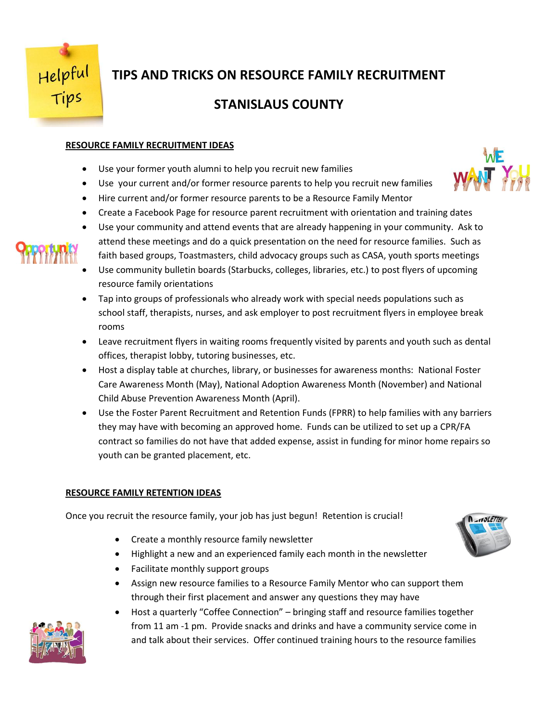

# **TIPS AND TRICKS ON RESOURCE FAMILY RECRUITMENT**

# **STANISLAUS COUNTY**

## **RESOURCE FAMILY RECRUITMENT IDEAS**

- Use your former youth alumni to help you recruit new families
- Use your current and/or former resource parents to help you recruit new families
- Hire current and/or former resource parents to be a Resource Family Mentor
- Create a Facebook Page for resource parent recruitment with orientation and training dates
- Use your community and attend events that are already happening in your community. Ask to attend these meetings and do a quick presentation on the need for resource families. Such as faith based groups, Toastmasters, child advocacy groups such as CASA, youth sports meetings
- Use community bulletin boards (Starbucks, colleges, libraries, etc.) to post flyers of upcoming resource family orientations
- Tap into groups of professionals who already work with special needs populations such as school staff, therapists, nurses, and ask employer to post recruitment flyers in employee break rooms
- Leave recruitment flyers in waiting rooms frequently visited by parents and youth such as dental offices, therapist lobby, tutoring businesses, etc.
- Host a display table at churches, library, or businesses for awareness months: National Foster Care Awareness Month (May), National Adoption Awareness Month (November) and National Child Abuse Prevention Awareness Month (April).
- Use the Foster Parent Recruitment and Retention Funds (FPRR) to help families with any barriers they may have with becoming an approved home. Funds can be utilized to set up a CPR/FA contract so families do not have that added expense, assist in funding for minor home repairs so youth can be granted placement, etc.

## **RESOURCE FAMILY RETENTION IDEAS**

Once you recruit the resource family, your job has just begun! Retention is crucial!

- Create a monthly resource family newsletter
- Highlight a new and an experienced family each month in the newsletter
- Facilitate monthly support groups
- Assign new resource families to a Resource Family Mentor who can support them through their first placement and answer any questions they may have
- Host a quarterly "Coffee Connection" bringing staff and resource families together from 11 am -1 pm. Provide snacks and drinks and have a community service come in and talk about their services. Offer continued training hours to the resource families